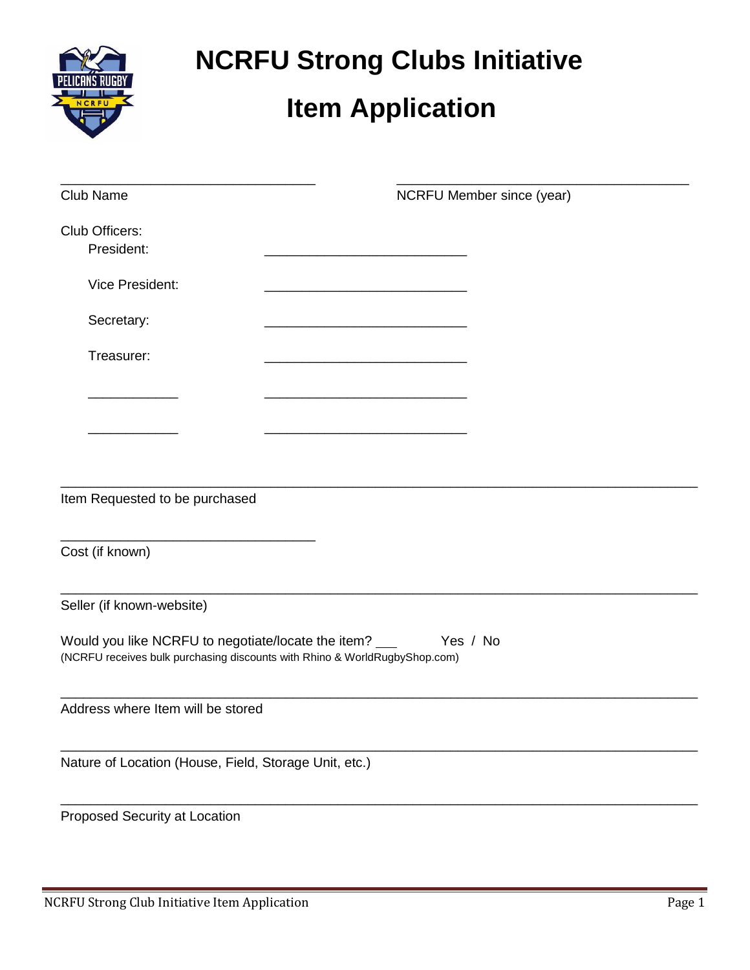| PELICANS RUGBY |
|----------------|
| C R I          |
|                |

## **NCRFU Strong Clubs Initiative**

## **Item Application**

| Club Name                                                                  | NCRFU Member since (year) |
|----------------------------------------------------------------------------|---------------------------|
| Club Officers:<br>President:                                               |                           |
| Vice President:                                                            |                           |
| Secretary:                                                                 |                           |
| Treasurer:                                                                 |                           |
|                                                                            |                           |
|                                                                            |                           |
|                                                                            |                           |
| Item Requested to be purchased                                             |                           |
| Cost (if known)                                                            |                           |
| Seller (if known-website)                                                  |                           |
| (NCRFU receives bulk purchasing discounts with Rhino & WorldRugbyShop.com) |                           |
| Address where Item will be stored                                          |                           |
| Nature of Location (House, Field, Storage Unit, etc.)                      |                           |
| Proposed Security at Location                                              |                           |